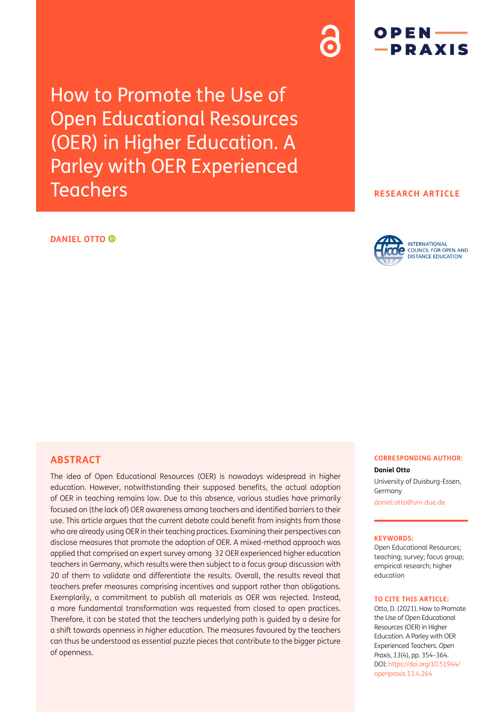How to Promote the Use of Open Educational Resources (OER) in Higher Education. A Parley with OER Experienced **Teachers** 

# $OPEN$  — -PRAXIS

## **RESEARCH ARTICLE**

## **DANIEL OTTO**



# **ABSTRACT**

The idea of Open Educational Resources (OER) is nowadays widespread in higher education. However, notwithstanding their supposed benefits, the actual adoption of OER in teaching remains low. Due to this absence, various studies have primarily focused on (the lack of) OER awareness among teachers and identified barriers to their use. This article argues that the current debate could benefit from insights from those who are already using OER in their teaching practices. Examining their perspectives can disclose measures that promote the adoption of OER. A mixed-method approach was applied that comprised an expert survey among 32 OER experienced higher education teachers in Germany, which results were then subject to a focus group discussion with 20 of them to validate and differentiate the results. Overall, the results reveal that teachers prefer measures comprising incentives and support rather than obligations. Exemplarily, a commitment to publish all materials as OER was rejected. Instead, a more fundamental transformation was requested from closed to open practices. Therefore, it can be stated that the teachers underlying path is guided by a desire for a shift towards openness in higher education. The measures favoured by the teachers can thus be understood as essential puzzle pieces that contribute to the bigger picture of openness.

#### **CORRESPONDING AUTHOR:**

**Daniel Otto** University of Duisburg-Essen, Germany [daniel.otto@uni-due.de](mailto:daniel.otto@uni-due.de)

#### **KEYWORDS:**

Open Educational Resources; teaching; survey; focus group; empirical research; higher education

#### **TO CITE THIS ARTICLE:**

Otto, D. (2021). How to Promote the Use of Open Educational Resources (OER) in Higher Education. A Parley with OER Experienced Teachers. *Open Praxis*, *13*(4), pp. 354–364. DOI: [https://doi.org/](https://doi.org/10.51944/openpraxis.13.4.264)10.55982/ [openpraxis.13.4.264](https://doi.org/10.51944/openpraxis.13.4.264)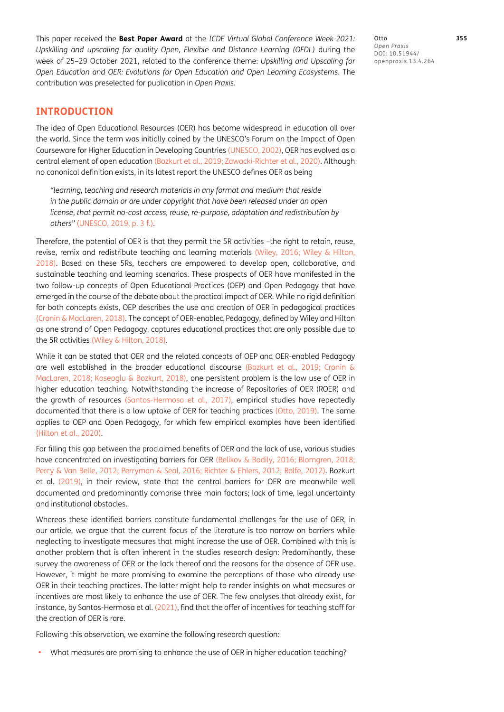This paper received the **Best Paper Award** at the *ICDE Virtual Global Conference Week 2021: Upskilling and upscaling for quality Open, Flexible and Distance Learning (OFDL)* during the week of 25–29 October 2021, related to the conference theme: *Upskilling and Upscaling for Open Education and OER: Evolutions for Open Education and Open Learning Ecosystems*. The contribution was preselected for publication in *Open Praxis*.

Otto **355** *Open Praxis*  $DOI:$ openpraxis.13.4.264

## **INTRODUCTION**

The idea of Open Educational Resources (OER) has become widespread in education all over the world. Since the term was initially coined by the UNESCO's Forum on the Impact of Open Courseware for Higher Education in Developing Countries [\(UNESCO, 2002\)](#page-10-0), OER has evolved as a central element of open education [\(Bozkurt et al., 2019;](#page-9-0) [Zawacki-Richter et al., 2020\)](#page-10-1). Although no canonical definition exists, in its latest report the UNESCO defines OER as being

*"learning, teaching and research materials in any format and medium that reside in the public domain or are under copyright that have been released under an open license, that permit no-cost access, reuse, re-purpose, adaptation and redistribution by others"* ([UNESCO, 2019,](#page-10-2) p. 3 f.)*.*

Therefore, the potential of OER is that they permit the 5R activities –the right to retain, reuse, revise, remix and redistribute teaching and learning materials [\(Wiley, 2016](#page-10-3); [Wiley & Hilton,](#page-10-4)  [2018](#page-10-4)). Based on these 5Rs, teachers are empowered to develop open, collaborative, and sustainable teaching and learning scenarios. These prospects of OER have manifested in the two follow-up concepts of Open Educational Practices (OEP) and Open Pedagogy that have emerged in the course of the debate about the practical impact of OER. While no rigid definition for both concepts exists, OEP describes the use and creation of OER in pedagogical practices [\(Cronin & MacLaren, 2018\)](#page-9-1). The concept of OER-enabled Pedagogy, defined by Wiley and Hilton as one strand of Open Pedagogy, captures educational practices that are only possible due to the 5R activities [\(Wiley & Hilton, 2018\)](#page-10-4).

While it can be stated that OER and the related concepts of OEP and OER-enabled Pedagogy are well established in the broader educational discourse ([Bozkurt et al., 2019;](#page-9-0) [Cronin &](#page-9-1)  [MacLaren, 2018;](#page-9-1) [Koseoglu & Bozkurt, 2018](#page-9-2)), one persistent problem is the low use of OER in higher education teaching. Notwithstanding the increase of Repositories of OER (ROER) and the growth of resources [\(Santos-Hermosa et al., 2017](#page-10-5)), empirical studies have repeatedly documented that there is a low uptake of OER for teaching practices [\(Otto, 2019\)](#page-9-3). The same applies to OEP and Open Pedagogy, for which few empirical examples have been identified [\(Hilton et al., 2020](#page-9-4)).

For filling this gap between the proclaimed benefits of OER and the lack of use, various studies have concentrated on investigating barriers for OER ([Belikov & Bodily, 2016;](#page-9-5) [Blomgren, 2018](#page-9-6); [Percy & Van Belle, 2012](#page-9-7); [Perryman & Seal, 2016](#page-9-8); [Richter & Ehlers, 2012;](#page-9-9) [Rolfe, 2012](#page-9-10)). [Bozkurt](#page-9-0)  [et al. \(2019\),](#page-9-0) in their review, state that the central barriers for OER are meanwhile well documented and predominantly comprise three main factors; lack of time, legal uncertainty and institutional obstacles.

Whereas these identified barriers constitute fundamental challenges for the use of OER, in our article, we argue that the current focus of the literature is too narrow on barriers while neglecting to investigate measures that might increase the use of OER. Combined with this is another problem that is often inherent in the studies research design: Predominantly, these survey the awareness of OER or the lack thereof and the reasons for the absence of OER use. However, it might be more promising to examine the perceptions of those who already use OER in their teaching practices. The latter might help to render insights on what measures or incentives are most likely to enhance the use of OER. The few analyses that already exist, for instance, by Santos-Hermosa et al. (2021), find that the offer of incentives for teaching staff for the creation of OER is rare.

Following this observation, we examine the following research question:

**•** What measures are promising to enhance the use of OER in higher education teaching?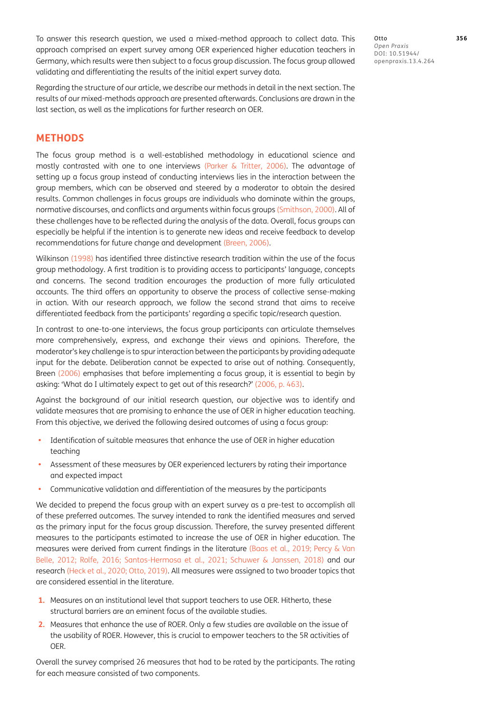To answer this research question, we used a mixed-method approach to collect data. This approach comprised an expert survey among OER experienced higher education teachers in Germany, which results were then subject to a focus group discussion. The focus group allowed validating and differentiating the results of the initial expert survey data.

Regarding the structure of our article, we describe our methods in detail in the next section. The results of our mixed-methods approach are presented afterwards. Conclusions are drawn in the last section, as well as the implications for further research on OER.

# **METHODS**

The focus group method is a well-established methodology in educational science and mostly contrasted with one to one interviews [\(Parker & Tritter, 2006](#page-9-11)). The advantage of setting up a focus group instead of conducting interviews lies in the interaction between the group members, which can be observed and steered by a moderator to obtain the desired results. Common challenges in focus groups are individuals who dominate within the groups, normative discourses, and conflicts and arguments within focus groups [\(Smithson, 2000\)](#page-10-6). All of these challenges have to be reflected during the analysis of the data. Overall, focus groups can especially be helpful if the intention is to generate new ideas and receive feedback to develop recommendations for future change and development ([Breen, 2006](#page-9-12)).

[Wilkinson \(1998\)](#page-10-7) has identified three distinctive research tradition within the use of the focus group methodology. A first tradition is to providing access to participants' language, concepts and concerns. The second tradition encourages the production of more fully articulated accounts. The third offers an opportunity to observe the process of collective sense-making in action. With our research approach, we follow the second strand that aims to receive differentiated feedback from the participants' regarding a specific topic/research question.

In contrast to one-to-one interviews, the focus group participants can articulate themselves more comprehensively, express, and exchange their views and opinions. Therefore, the moderator's key challenge is to spur interaction between the participants by providing adequate input for the debate. Deliberation cannot be expected to arise out of nothing. Consequently, [Breen \(2006\)](#page-9-12) emphasises that before implementing a focus group, it is essential to begin by asking: 'What do I ultimately expect to get out of this research?' [\(2006,](#page-9-12) p. 463).

Against the background of our initial research question, our objective was to identify and validate measures that are promising to enhance the use of OER in higher education teaching. From this objective, we derived the following desired outcomes of using a focus group:

- **•** Identification of suitable measures that enhance the use of OER in higher education teaching
- **•** Assessment of these measures by OER experienced lecturers by rating their importance and expected impact
- **•** Communicative validation and differentiation of the measures by the participants

We decided to prepend the focus group with an expert survey as a pre-test to accomplish all of these preferred outcomes. The survey intended to rank the identified measures and served as the primary input for the focus group discussion. Therefore, the survey presented different measures to the participants estimated to increase the use of OER in higher education. The measures were derived from current findings in the literature (Baas et al., 2019; [Percy & Van](#page-9-7)  [Belle, 2012](#page-9-7); [Rolfe, 2016](#page-10-8); Santos-Hermosa et al., 2021; [Schuwer & Janssen, 2018\)](#page-10-9) and our research (Heck et al., 2020; [Otto, 2019](#page-9-3)). All measures were assigned to two broader topics that are considered essential in the literature.

- **1.** Measures on an institutional level that support teachers to use OER. Hitherto, these structural barriers are an eminent focus of the available studies.
- **2.** Measures that enhance the use of ROER. Only a few studies are available on the issue of the usability of ROER. However, this is crucial to empower teachers to the 5R activities of OER.

Overall the survey comprised 26 measures that had to be rated by the participants. The rating for each measure consisted of two components.

Otto **356** *Open Praxis*  $DOI:$ openpraxis.13.4.264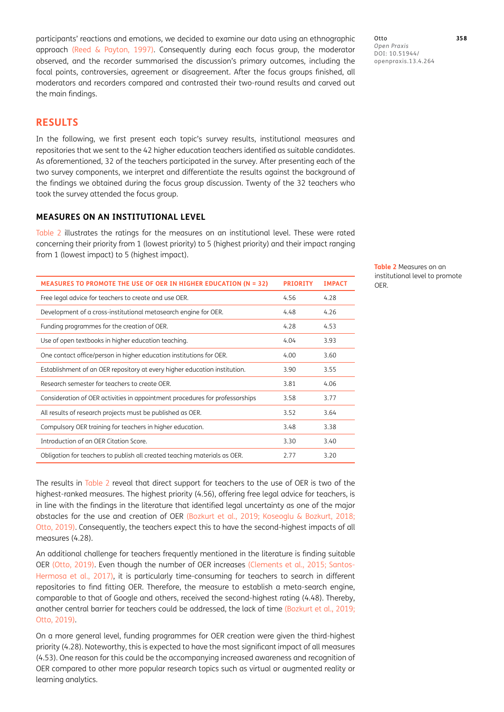participants' reactions and emotions, we decided to examine our data using an ethnographic approach ([Reed & Payton, 1997\)](#page-9-13). Consequently during each focus group, the moderator observed, and the recorder summarised the discussion's primary outcomes, including the focal points, controversies, agreement or disagreement. After the focus groups finished, all moderators and recorders compared and contrasted their two-round results and carved out the main findings.

## **RESULTS**

In the following, we first present each topic's survey results, institutional measures and repositories that we sent to the 42 higher education teachers identified as suitable candidates. As aforementioned, 32 of the teachers participated in the survey. After presenting each of the two survey components, we interpret and differentiate the results against the background of the findings we obtained during the focus group discussion. Twenty of the 32 teachers who took the survey attended the focus group.

## **MEASURES ON AN INSTITUTIONAL LEVEL**

[Table 2](#page-4-0) illustrates the ratings for the measures on an institutional level. These were rated concerning their priority from 1 (lowest priority) to 5 (highest priority) and their impact ranging from 1 (lowest impact) to 5 (highest impact).

| <b>MEASURES TO PROMOTE THE USE OF OER IN HIGHER EDUCATION (N = 32)</b>       | <b>PRIORITY</b> | <b>IMPACT</b> |
|------------------------------------------------------------------------------|-----------------|---------------|
| Free legal advice for teachers to create and use OER.                        | 4.56            | 4.28          |
| Development of a cross-institutional metasearch engine for OER.              | 4.48            | 4.26          |
| Funding programmes for the creation of OER.                                  | 4.28            | 4.53          |
| Use of open textbooks in higher education teaching.                          | 4.04            | 3.93          |
| One contact office/person in higher education institutions for OER.          | 4.00            | 3.60          |
| Establishment of an OER repository at every higher education institution.    | 3.90            | 3.55          |
| Research semester for teachers to create OER.                                | 3.81            | 4.06          |
| Consideration of OER activities in appointment procedures for professorships | 3.58            | 3.77          |
| All results of research projects must be published as OER.                   | 3.52            | 3.64          |
| Compulsory OER training for teachers in higher education.                    | 3.48            | 3.38          |
| Introduction of an OER Citation Score.                                       | 3.30            | 3.40          |
| Obligation for teachers to publish all created teaching materials as OER.    | 2.77            | 3.20          |

The results in [Table 2](#page-4-0) reveal that direct support for teachers to the use of OER is two of the highest-ranked measures. The highest priority (4.56), offering free legal advice for teachers, is in line with the findings in the literature that identified legal uncertainty as one of the major obstacles for the use and creation of OER [\(Bozkurt et al., 2019;](#page-9-0) [Koseoglu & Bozkurt, 2018](#page-9-2); [Otto, 2019\)](#page-9-3). Consequently, the teachers expect this to have the second-highest impacts of all measures (4.28).

An additional challenge for teachers frequently mentioned in the literature is finding suitable OER ([Otto, 2019](#page-9-3)). Even though the number of OER increases ([Clements et al., 2015;](#page-9-14) [Santos-](#page-10-5)[Hermosa et al., 2017\)](#page-10-5), it is particularly time-consuming for teachers to search in different repositories to find fitting OER. Therefore, the measure to establish a meta-search engine, comparable to that of Google and others, received the second-highest rating (4.48). Thereby, another central barrier for teachers could be addressed, the lack of time [\(Bozkurt et al., 2019](#page-9-0); [Otto, 2019\)](#page-9-3).

On a more general level, funding programmes for OER creation were given the third-highest priority (4.28). Noteworthy, this is expected to have the most significant impact of all measures (4.53). One reason for this could be the accompanying increased awareness and recognition of OER compared to other more popular research topics such as virtual or augmented reality or learning analytics.

Otto **358** *Open Praxis* DOI: / openpraxis.13.4.264

<span id="page-4-0"></span>**Table 2** Measures on an institutional level to promote OER.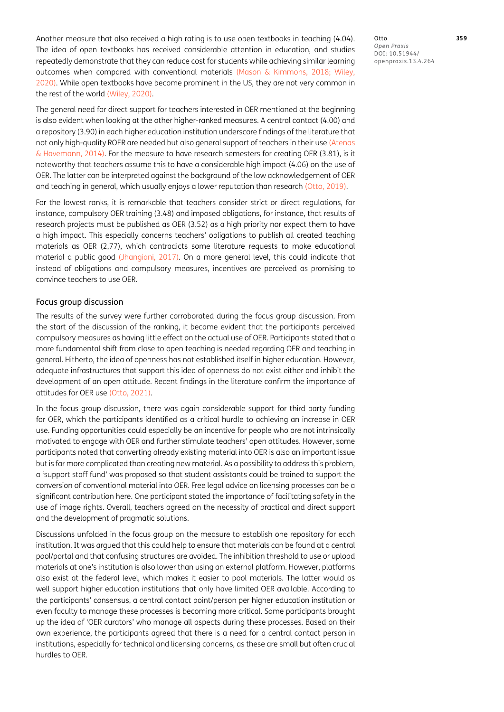Another measure that also received a high rating is to use open textbooks in teaching (4.04). The idea of open textbooks has received considerable attention in education, and studies repeatedly demonstrate that they can reduce cost for students while achieving similar learning outcomes when compared with conventional materials (Mason & Kimmons, 2018; [Wiley,](#page-10-10)  [2020](#page-10-10)). While open textbooks have become prominent in the US, they are not very common in the rest of the world [\(Wiley, 2020\)](#page-10-10).

The general need for direct support for teachers interested in OER mentioned at the beginning is also evident when looking at the other higher-ranked measures. A central contact (4.00) and a repository (3.90) in each higher education institution underscore findings of the literature that not only high-quality ROER are needed but also general support of teachers in their use ([Atenas](#page-9-15)  [& Havemann, 2014\)](#page-9-15). For the measure to have research semesters for creating OER (3.81), is it noteworthy that teachers assume this to have a considerable high impact (4.06) on the use of OER. The latter can be interpreted against the background of the low acknowledgement of OER and teaching in general, which usually enjoys a lower reputation than research [\(Otto, 2019](#page-9-3)).

For the lowest ranks, it is remarkable that teachers consider strict or direct regulations, for instance, compulsory OER training (3.48) and imposed obligations, for instance, that results of research projects must be published as OER (3.52) as a high priority nor expect them to have a high impact. This especially concerns teachers' obligations to publish all created teaching materials as OER (2,77), which contradicts some literature requests to make educational material a public good [\(Jhangiani, 2017](#page-9-16)). On a more general level, this could indicate that instead of obligations and compulsory measures, incentives are perceived as promising to convince teachers to use OER.

## Focus group discussion

The results of the survey were further corroborated during the focus group discussion. From the start of the discussion of the ranking, it became evident that the participants perceived compulsory measures as having little effect on the actual use of OER. Participants stated that a more fundamental shift from close to open teaching is needed regarding OER and teaching in general. Hitherto, the idea of openness has not established itself in higher education. However, adequate infrastructures that support this idea of openness do not exist either and inhibit the development of an open attitude. Recent findings in the literature confirm the importance of attitudes for OER use [\(Otto, 2021\)](#page-9-17).

In the focus group discussion, there was again considerable support for third party funding for OER, which the participants identified as a critical hurdle to achieving an increase in OER use. Funding opportunities could especially be an incentive for people who are not intrinsically motivated to engage with OER and further stimulate teachers' open attitudes. However, some participants noted that converting already existing material into OER is also an important issue but is far more complicated than creating new material. As a possibility to address this problem, a 'support staff fund' was proposed so that student assistants could be trained to support the conversion of conventional material into OER. Free legal advice on licensing processes can be a significant contribution here. One participant stated the importance of facilitating safety in the use of image rights. Overall, teachers agreed on the necessity of practical and direct support and the development of pragmatic solutions.

Discussions unfolded in the focus group on the measure to establish one repository for each institution. It was argued that this could help to ensure that materials can be found at a central pool/portal and that confusing structures are avoided. The inhibition threshold to use or upload materials at one's institution is also lower than using an external platform. However, platforms also exist at the federal level, which makes it easier to pool materials. The latter would as well support higher education institutions that only have limited OER available. According to the participants' consensus, a central contact point/person per higher education institution or even faculty to manage these processes is becoming more critical. Some participants brought up the idea of 'OER curators' who manage all aspects during these processes. Based on their own experience, the participants agreed that there is a need for a central contact person in institutions, especially for technical and licensing concerns, as these are small but often crucial hurdles to OER.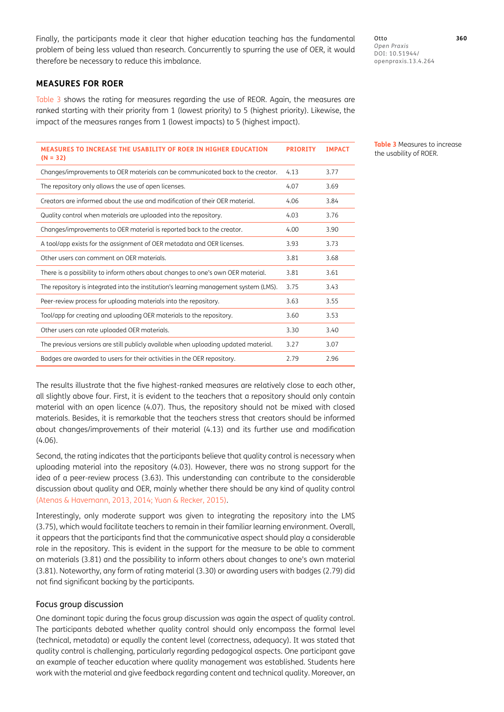Finally, the participants made it clear that higher education teaching has the fundamental problem of being less valued than research. Concurrently to spurring the use of OER, it would therefore be necessary to reduce this imbalance.

## **MEASURES FOR ROER**

[Table 3](#page-6-0) shows the rating for measures regarding the use of REOR. Again, the measures are ranked starting with their priority from 1 (lowest priority) to 5 (highest priority). Likewise, the impact of the measures ranges from 1 (lowest impacts) to 5 (highest impact).

| MEASURES TO INCREASE THE USABILITY OF ROER IN HIGHER EDUCATION<br>$(N = 32)$          | <b>PRIORITY</b> | <b>IMPACT</b> |
|---------------------------------------------------------------------------------------|-----------------|---------------|
| Changes/improvements to OER materials can be communicated back to the creator.        | 4.13            | 3.77          |
| The repository only allows the use of open licenses.                                  | 4.07            | 3.69          |
| Creators are informed about the use and modification of their OER material.           | 4.06            | 3.84          |
| Quality control when materials are uploaded into the repository.                      | 4.03            | 3.76          |
| Changes/improvements to OER material is reported back to the creator.                 | 4.00            | 3.90          |
| A tool/app exists for the assignment of OER metadata and OER licenses.                | 3.93            | 3.73          |
| Other users can comment on OER materials.                                             | 3.81            | 3.68          |
| There is a possibility to inform others about changes to one's own OER material.      | 3.81            | 3.61          |
| The repository is integrated into the institution's learning management system (LMS). | 3.75            | 3.43          |
| Peer-review process for uploading materials into the repository.                      | 3.63            | 3.55          |
| Tool/app for creating and uploading OER materials to the repository.                  | 3.60            | 3.53          |
| Other users can rate uploaded OER materials.                                          | 3.30            | 3.40          |
| The previous versions are still publicly available when uploading updated material.   | 3.27            | 3.07          |
| Badges are awarded to users for their activities in the OER repository.               | 2.79            | 2.96          |

The results illustrate that the five highest-ranked measures are relatively close to each other, all slightly above four. First, it is evident to the teachers that a repository should only contain material with an open licence (4.07). Thus, the repository should not be mixed with closed materials. Besides, it is remarkable that the teachers stress that creators should be informed about changes/improvements of their material (4.13) and its further use and modification (4.06).

Second, the rating indicates that the participants believe that quality control is necessary when uploading material into the repository (4.03). However, there was no strong support for the idea of a peer-review process (3.63). This understanding can contribute to the considerable discussion about quality and OER, mainly whether there should be any kind of quality control [\(Atenas & Havemann, 2013](#page-8-0), [2014](#page-9-15); [Yuan & Recker, 2015\)](#page-10-11).

Interestingly, only moderate support was given to integrating the repository into the LMS (3.75), which would facilitate teachers to remain in their familiar learning environment. Overall, it appears that the participants find that the communicative aspect should play a considerable role in the repository. This is evident in the support for the measure to be able to comment on materials (3.81) and the possibility to inform others about changes to one's own material (3.81). Noteworthy, any form of rating material (3.30) or awarding users with badges (2.79) did not find significant backing by the participants.

## Focus group discussion

One dominant topic during the focus group discussion was again the aspect of quality control. The participants debated whether quality control should only encompass the formal level (technical, metadata) or equally the content level (correctness, adequacy). It was stated that quality control is challenging, particularly regarding pedagogical aspects. One participant gave an example of teacher education where quality management was established. Students here work with the material and give feedback regarding content and technical quality. Moreover, an Otto **360** *Open Praxis*  $DOI:$ openpraxis.13.4.264

<span id="page-6-0"></span>**Table 3** Measures to increase the usability of ROER.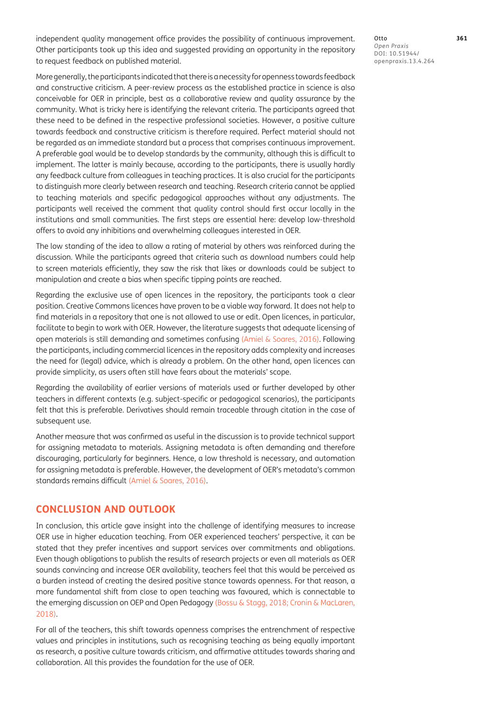independent quality management office provides the possibility of continuous improvement. Other participants took up this idea and suggested providing an opportunity in the repository to request feedback on published material.

More generally, the participants indicated that there is a necessity for openness towards feedback and constructive criticism. A peer-review process as the established practice in science is also conceivable for OER in principle, best as a collaborative review and quality assurance by the community. What is tricky here is identifying the relevant criteria. The participants agreed that these need to be defined in the respective professional societies. However, a positive culture towards feedback and constructive criticism is therefore required. Perfect material should not be regarded as an immediate standard but a process that comprises continuous improvement. A preferable goal would be to develop standards by the community, although this is difficult to implement. The latter is mainly because, according to the participants, there is usually hardly any feedback culture from colleagues in teaching practices. It is also crucial for the participants to distinguish more clearly between research and teaching. Research criteria cannot be applied to teaching materials and specific pedagogical approaches without any adjustments. The participants well received the comment that quality control should first occur locally in the institutions and small communities. The first steps are essential here: develop low-threshold offers to avoid any inhibitions and overwhelming colleagues interested in OER.

The low standing of the idea to allow a rating of material by others was reinforced during the discussion. While the participants agreed that criteria such as download numbers could help to screen materials efficiently, they saw the risk that likes or downloads could be subject to manipulation and create a bias when specific tipping points are reached.

Regarding the exclusive use of open licences in the repository, the participants took a clear position. Creative Commons licences have proven to be a viable way forward. It does not help to find materials in a repository that one is not allowed to use or edit. Open licences, in particular, facilitate to begin to work with OER. However, the literature suggests that adequate licensing of open materials is still demanding and sometimes confusing [\(Amiel & Soares, 2016](#page-8-1)). Following the participants, including commercial licences in the repository adds complexity and increases the need for (legal) advice, which is already a problem. On the other hand, open licences can provide simplicity, as users often still have fears about the materials' scope.

Regarding the availability of earlier versions of materials used or further developed by other teachers in different contexts (e.g. subject-specific or pedagogical scenarios), the participants felt that this is preferable. Derivatives should remain traceable through citation in the case of subsequent use.

Another measure that was confirmed as useful in the discussion is to provide technical support for assigning metadata to materials. Assigning metadata is often demanding and therefore discouraging, particularly for beginners. Hence, a low threshold is necessary, and automation for assigning metadata is preferable. However, the development of OER's metadata's common standards remains difficult ([Amiel & Soares, 2016](#page-8-1)).

# **CONCLUSION AND OUTLOOK**

In conclusion, this article gave insight into the challenge of identifying measures to increase OER use in higher education teaching. From OER experienced teachers' perspective, it can be stated that they prefer incentives and support services over commitments and obligations. Even though obligations to publish the results of research projects or even all materials as OER sounds convincing and increase OER availability, teachers feel that this would be perceived as a burden instead of creating the desired positive stance towards openness. For that reason, a more fundamental shift from close to open teaching was favoured, which is connectable to the emerging discussion on OEP and Open Pedagogy ([Bossu & Stagg, 2018;](#page-9-18) [Cronin & MacLaren,](#page-9-1)  [2018](#page-9-1)).

For all of the teachers, this shift towards openness comprises the entrenchment of respective values and principles in institutions, such as recognising teaching as being equally important as research, a positive culture towards criticism, and affirmative attitudes towards sharing and collaboration. All this provides the foundation for the use of OER.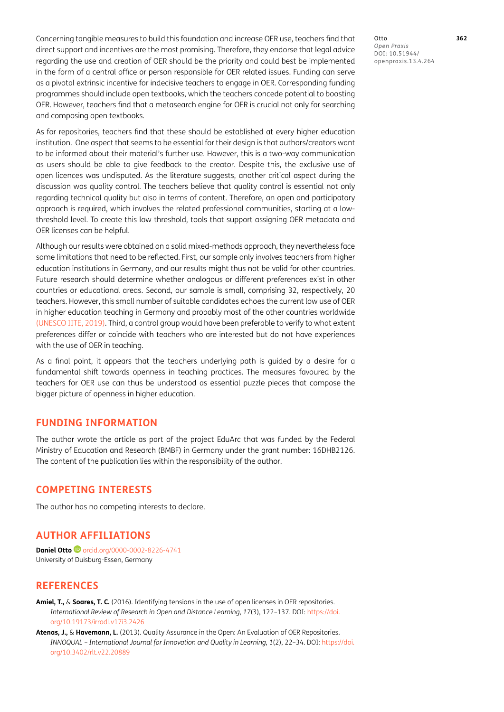Concerning tangible measures to build this foundation and increase OER use, teachers find that direct support and incentives are the most promising. Therefore, they endorse that legal advice regarding the use and creation of OER should be the priority and could best be implemented in the form of a central office or person responsible for OER related issues. Funding can serve as a pivotal extrinsic incentive for indecisive teachers to engage in OER. Corresponding funding programmes should include open textbooks, which the teachers concede potential to boosting OER. However, teachers find that a metasearch engine for OER is crucial not only for searching and composing open textbooks.

As for repositories, teachers find that these should be established at every higher education institution. One aspect that seems to be essential for their design is that authors/creators want to be informed about their material's further use. However, this is a two-way communication as users should be able to give feedback to the creator. Despite this, the exclusive use of open licences was undisputed. As the literature suggests, another critical aspect during the discussion was quality control. The teachers believe that quality control is essential not only regarding technical quality but also in terms of content. Therefore, an open and participatory approach is required, which involves the related professional communities, starting at a lowthreshold level. To create this low threshold, tools that support assigning OER metadata and OER licenses can be helpful.

Although our results were obtained on a solid mixed-methods approach, they nevertheless face some limitations that need to be reflected. First, our sample only involves teachers from higher education institutions in Germany, and our results might thus not be valid for other countries. Future research should determine whether analogous or different preferences exist in other countries or educational areas. Second, our sample is small, comprising 32, respectively, 20 teachers. However, this small number of suitable candidates echoes the current low use of OER in higher education teaching in Germany and probably most of the other countries worldwide [\(UNESCO IITE, 2019\)](#page-10-12). Third, a control group would have been preferable to verify to what extent preferences differ or coincide with teachers who are interested but do not have experiences with the use of OER in teaching.

As a final point, it appears that the teachers underlying path is guided by a desire for a fundamental shift towards openness in teaching practices. The measures favoured by the teachers for OER use can thus be understood as essential puzzle pieces that compose the bigger picture of openness in higher education.

## **FUNDING INFORMATION**

The author wrote the article as part of the project EduArc that was funded by the Federal Ministry of Education and Research (BMBF) in Germany under the grant number: 16DHB2126. The content of the publication lies within the responsibility of the author.

## **COMPETING INTERESTS**

The author has no competing interests to declare.

# **AUTHOR AFFILIATIONS**

**Daniel Otto D** [orcid.org/0000-0002-8226-4741](https://orcid.org/0000-0002-8226-4741) University of Duisburg-Essen, Germany

## **REFERENCES**

- <span id="page-8-1"></span>**Amiel, T.,** & **Soares, T. C.** (2016). Identifying tensions in the use of open licenses in OER repositories. *International Review of Research in Open and Distance Learning*, *17*(3), 122–137. DOI: [https://doi.](https://doi.org/10.19173/irrodl.v17i3.2426) [org/10.19173/irrodl.v17i3.2426](https://doi.org/10.19173/irrodl.v17i3.2426)
- <span id="page-8-0"></span>**Atenas, J.,** & **Havemann, L.** (2013). Quality Assurance in the Open: An Evaluation of OER Repositories. *INNOQUAL – International Journal for Innovation and Quality in Learning*, *1*(2), 22–34. DOI: [https://doi.](https://doi.org/10.3402/rlt.v22.20889) [org/10.3402/rlt.v22.20889](https://doi.org/10.3402/rlt.v22.20889)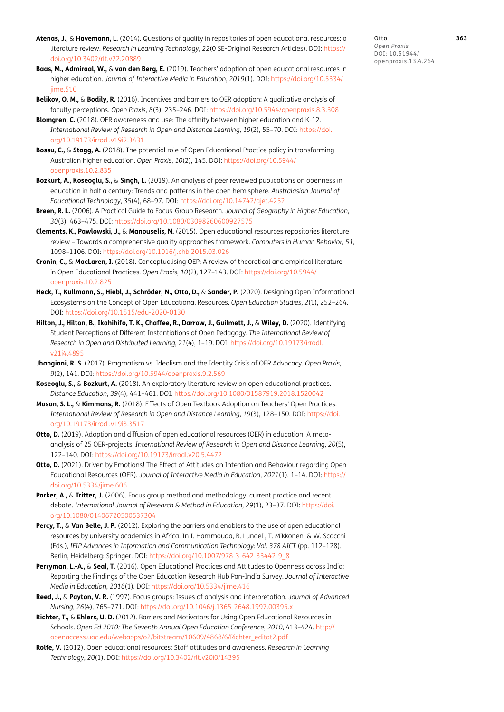- <span id="page-9-15"></span>**Atenas, J.,** & **Havemann, L.** (2014). Questions of quality in repositories of open educational resources: a literature review. *Research in Learning Technology*, *22*(0 SE-Original Research Articles). DOI: [https://](https://doi.org/10.3402/rlt.v22.20889) [doi.org/10.3402/rlt.v22.20889](https://doi.org/10.3402/rlt.v22.20889)
- **Baas, M., Admiraal, W.,** & **van den Berg, E.** (2019). Teachers' adoption of open educational resources in higher education. *Journal of Interactive Media in Education*, *2019*(1). DOI: [https://doi.org/10.5334/](https://doi.org/10.5334/jime.510) [jime.510](https://doi.org/10.5334/jime.510)
- <span id="page-9-5"></span>**Belikov, O. M.,** & **Bodily, R.** (2016). Incentives and barriers to OER adoption: A qualitative analysis of faculty perceptions. *Open Praxis*, *8*(3), 235–246. DOI: <https://doi.org/10.5944/openpraxis.8.3.308>
- <span id="page-9-6"></span>**Blomgren, C.** (2018). OER awareness and use: The affinity between higher education and K-12. *International Review of Research in Open and Distance Learning*, *19*(2), 55–70. DOI: [https://doi.](https://doi.org/10.19173/irrodl.v19i2.3431) [org/10.19173/irrodl.v19i2.3431](https://doi.org/10.19173/irrodl.v19i2.3431)
- <span id="page-9-18"></span>**Bossu, C.,** & **Stagg, A.** (2018). The potential role of Open Educational Practice policy in transforming Australian higher education. *Open Praxis*, *10*(2), 145. DOI: [https://doi.org/10.5944/](https://doi.org/10.5944/openpraxis.10.2.835) [openpraxis.10.2.835](https://doi.org/10.5944/openpraxis.10.2.835)
- <span id="page-9-0"></span>**Bozkurt, A., Koseoglu, S.,** & **Singh, L.** (2019). An analysis of peer reviewed publications on openness in education in half a century: Trends and patterns in the open hemisphere. *Australasian Journal of Educational Technology*, *35*(4), 68–97. DOI: <https://doi.org/10.14742/ajet.4252>
- <span id="page-9-12"></span>**Breen, R. L.** (2006). A Practical Guide to Focus-Group Research. *Journal of Geography in Higher Education*, *30*(3), 463–475. DOI:<https://doi.org/10.1080/03098260600927575>
- <span id="page-9-14"></span>**Clements, K., Pawlowski, J.,** & **Manouselis, N.** (2015). Open educational resources repositories literature review – Towards a comprehensive quality approaches framework. *Computers in Human Behavior*, *51*, 1098–1106. DOI: <https://doi.org/10.1016/j.chb.2015.03.026>
- <span id="page-9-1"></span>**Cronin, C.,** & **MacLaren, I.** (2018). Conceptualising OEP: A review of theoretical and empirical literature in Open Educational Practices. *Open Praxis*, *10*(2), 127–143. DOI: [https://doi.org/10.5944/](https://doi.org/10.5944/openpraxis.10.2.825) [openpraxis.10.2.825](https://doi.org/10.5944/openpraxis.10.2.825)
- **Heck, T., Kullmann, S., Hiebl, J., Schröder, N., Otto, D.,** & **Sander, P.** (2020). Designing Open Informational Ecosystems on the Concept of Open Educational Resources. *Open Education Studies, 2*(1), 252–264. DOI:<https://doi.org/10.1515/edu-2020-0130>
- <span id="page-9-4"></span>**Hilton, J., Hilton, B., Ikahihifo, T. K., Chaffee, R., Darrow, J., Guilmett, J.,** & **Wiley, D.** (2020). Identifying Student Perceptions of Different Instantiations of Open Pedagogy. *The International Review of Research in Open and Distributed Learning*, *21*(4), 1–19. DOI: [https://doi.org/10.19173/irrodl.](https://doi.org/10.19173/irrodl.v21i4.4895) [v21i4.4895](https://doi.org/10.19173/irrodl.v21i4.4895)
- <span id="page-9-16"></span>**Jhangiani, R. S.** (2017). Pragmatism vs. Idealism and the Identity Crisis of OER Advocacy. *Open Praxis*, *9*(2), 141. DOI:<https://doi.org/10.5944/openpraxis.9.2.569>
- <span id="page-9-2"></span>**Koseoglu, S.,** & **Bozkurt, A.** (2018). An exploratory literature review on open educational practices. *Distance Education*, *39*(4), 441–461. DOI:<https://doi.org/10.1080/01587919.2018.1520042>
- **Mason, S. L.,** & **Kimmons, R.** (2018). Effects of Open Textbook Adoption on Teachers' Open Practices. *International Review of Research in Open and Distance Learning*, *19*(3), 128–150. DOI: [https://doi.](https://doi.org/10.19173/irrodl.v19i3.3517) [org/10.19173/irrodl.v19i3.3517](https://doi.org/10.19173/irrodl.v19i3.3517)
- <span id="page-9-3"></span>**Otto, D.** (2019). Adoption and diffusion of open educational resources (OER) in education: A metaanalysis of 25 OER-projects. *International Review of Research in Open and Distance Learning, 20*(5), 122–140. DOI: <https://doi.org/10.19173/irrodl.v20i5.4472>
- <span id="page-9-17"></span>**Otto, D.** (2021). Driven by Emotions! The Effect of Attitudes on Intention and Behaviour regarding Open Educational Resources (OER). *Journal of Interactive Media in Education, 2021*(1), 1–14. DOI: [https://](https://doi.org/10.5334/jime.606) [doi.org/10.5334/jime.606](https://doi.org/10.5334/jime.606)
- <span id="page-9-11"></span>Parker, A., & Tritter, J. (2006). Focus group method and methodology: current practice and recent debate. *International Journal of Research & Method in Education*, *29*(1), 23–37. DOI: [https://doi.](https://doi.org/10.1080/01406720500537304) [org/10.1080/01406720500537304](https://doi.org/10.1080/01406720500537304)
- <span id="page-9-7"></span>**Percy, T.,** & **Van Belle, J. P.** (2012). Exploring the barriers and enablers to the use of open educational resources by university academics in Africa. In I. Hammouda, B. Lundell, T. Mikkonen, & W. Scacchi (Eds.), *IFIP Advances in Information and Communication Technology: Vol. 378 AICT* (pp. 112–128). Berlin, Heidelberg: Springer. DOI: [https://doi.org/10.1007/978-3-642-33442-9\\_8](https://doi.org/10.1007/978-3-642-33442-9_8)
- <span id="page-9-8"></span>**Perryman, L.-A.,** & **Seal, T.** (2016). Open Educational Practices and Attitudes to Openness across India: Reporting the Findings of the Open Education Research Hub Pan-India Survey. *Journal of Interactive Media in Education*, *2016*(1). DOI: <https://doi.org/10.5334/jime.416>
- <span id="page-9-13"></span>**Reed, J.,** & **Payton, V. R.** (1997). Focus groups: Issues of analysis and interpretation. *Journal of Advanced Nursing*, *26*(4), 765–771. DOI:<https://doi.org/10.1046/j.1365-2648.1997.00395.x>
- <span id="page-9-9"></span>**Richter, T.,** & **Ehlers, U. D.** (2012). Barriers and Motivators for Using Open Educational Resources in Schools. *Open Ed 2010: The Seventh Annual Open Education Conference*, *2010*, 413–424. [http://](http://openaccess.uoc.edu/webapps/o2/bitstream/10609/4868/6/Richter_editat2.pdf) [openaccess.uoc.edu/webapps/o2/bitstream/10609/4868/6/Richter\\_editat2.pdf](http://openaccess.uoc.edu/webapps/o2/bitstream/10609/4868/6/Richter_editat2.pdf)
- <span id="page-9-10"></span>**Rolfe, V.** (2012). Open educational resources: Staff attitudes and awareness. *Research in Learning Technology*, *20*(1). DOI: <https://doi.org/10.3402/rlt.v20i0/14395>

Otto **363** *Open Praxis*  $DOI:$ openpraxis.13.4.264